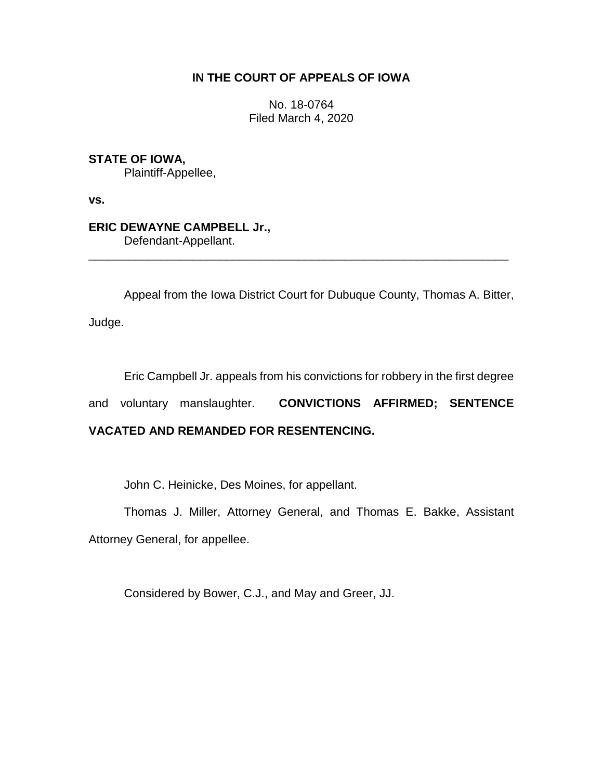# **IN THE COURT OF APPEALS OF IOWA**

No. 18-0764 Filed March 4, 2020

**STATE OF IOWA,**

Plaintiff-Appellee,

**vs.**

**ERIC DEWAYNE CAMPBELL Jr.,** Defendant-Appellant.

Appeal from the Iowa District Court for Dubuque County, Thomas A. Bitter,

\_\_\_\_\_\_\_\_\_\_\_\_\_\_\_\_\_\_\_\_\_\_\_\_\_\_\_\_\_\_\_\_\_\_\_\_\_\_\_\_\_\_\_\_\_\_\_\_\_\_\_\_\_\_\_\_\_\_\_\_\_\_\_\_

Judge.

Eric Campbell Jr. appeals from his convictions for robbery in the first degree

and voluntary manslaughter. **CONVICTIONS AFFIRMED; SENTENCE** 

# **VACATED AND REMANDED FOR RESENTENCING.**

John C. Heinicke, Des Moines, for appellant.

Thomas J. Miller, Attorney General, and Thomas E. Bakke, Assistant Attorney General, for appellee.

Considered by Bower, C.J., and May and Greer, JJ.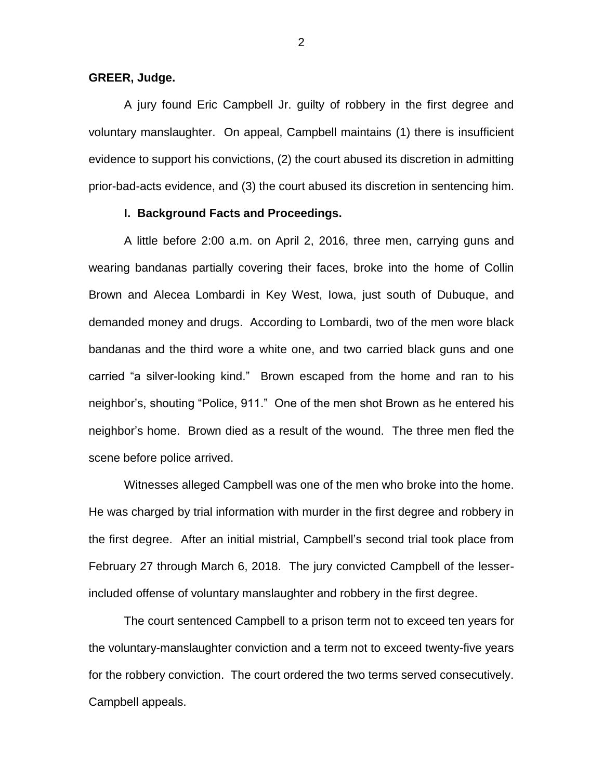#### **GREER, Judge.**

A jury found Eric Campbell Jr. guilty of robbery in the first degree and voluntary manslaughter. On appeal, Campbell maintains (1) there is insufficient evidence to support his convictions, (2) the court abused its discretion in admitting prior-bad-acts evidence, and (3) the court abused its discretion in sentencing him.

#### **I. Background Facts and Proceedings.**

A little before 2:00 a.m. on April 2, 2016, three men, carrying guns and wearing bandanas partially covering their faces, broke into the home of Collin Brown and Alecea Lombardi in Key West, Iowa, just south of Dubuque, and demanded money and drugs. According to Lombardi, two of the men wore black bandanas and the third wore a white one, and two carried black guns and one carried "a silver-looking kind." Brown escaped from the home and ran to his neighbor's, shouting "Police, 911." One of the men shot Brown as he entered his neighbor's home. Brown died as a result of the wound. The three men fled the scene before police arrived.

Witnesses alleged Campbell was one of the men who broke into the home. He was charged by trial information with murder in the first degree and robbery in the first degree. After an initial mistrial, Campbell's second trial took place from February 27 through March 6, 2018. The jury convicted Campbell of the lesserincluded offense of voluntary manslaughter and robbery in the first degree.

The court sentenced Campbell to a prison term not to exceed ten years for the voluntary-manslaughter conviction and a term not to exceed twenty-five years for the robbery conviction. The court ordered the two terms served consecutively. Campbell appeals.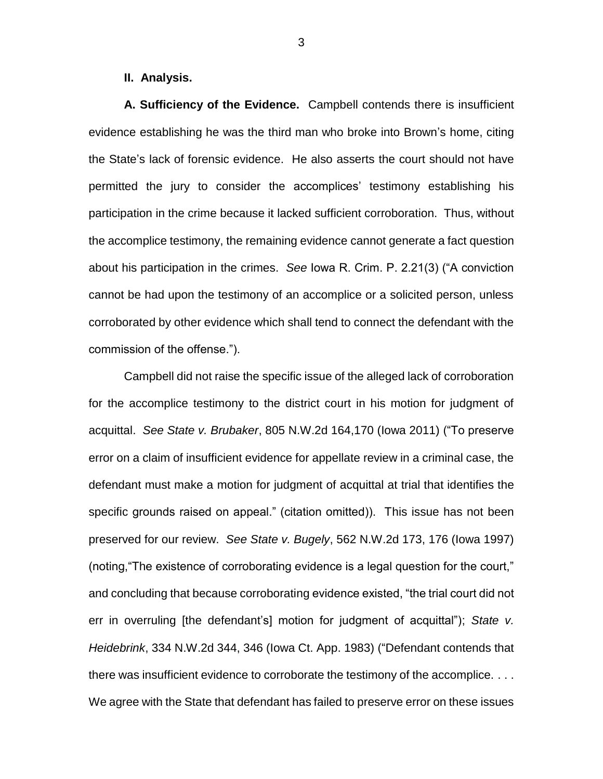### **II. Analysis.**

**A. Sufficiency of the Evidence.** Campbell contends there is insufficient evidence establishing he was the third man who broke into Brown's home, citing the State's lack of forensic evidence. He also asserts the court should not have permitted the jury to consider the accomplices' testimony establishing his participation in the crime because it lacked sufficient corroboration. Thus, without the accomplice testimony, the remaining evidence cannot generate a fact question about his participation in the crimes. *See* Iowa R. Crim. P. 2.21(3) ("A conviction cannot be had upon the testimony of an accomplice or a solicited person, unless corroborated by other evidence which shall tend to connect the defendant with the commission of the offense.").

Campbell did not raise the specific issue of the alleged lack of corroboration for the accomplice testimony to the district court in his motion for judgment of acquittal. *See State v. Brubaker*, 805 N.W.2d 164,170 (Iowa 2011) ("To preserve error on a claim of insufficient evidence for appellate review in a criminal case, the defendant must make a motion for judgment of acquittal at trial that identifies the specific grounds raised on appeal." (citation omitted)). This issue has not been preserved for our review. *See State v. Bugely*, 562 N.W.2d 173, 176 (Iowa 1997) (noting,"The existence of corroborating evidence is a legal question for the court," and concluding that because corroborating evidence existed, "the trial court did not err in overruling [the defendant's] motion for judgment of acquittal"); *State v. Heidebrink*, 334 N.W.2d 344, 346 (Iowa Ct. App. 1983) ("Defendant contends that there was insufficient evidence to corroborate the testimony of the accomplice. . . . We agree with the State that defendant has failed to preserve error on these issues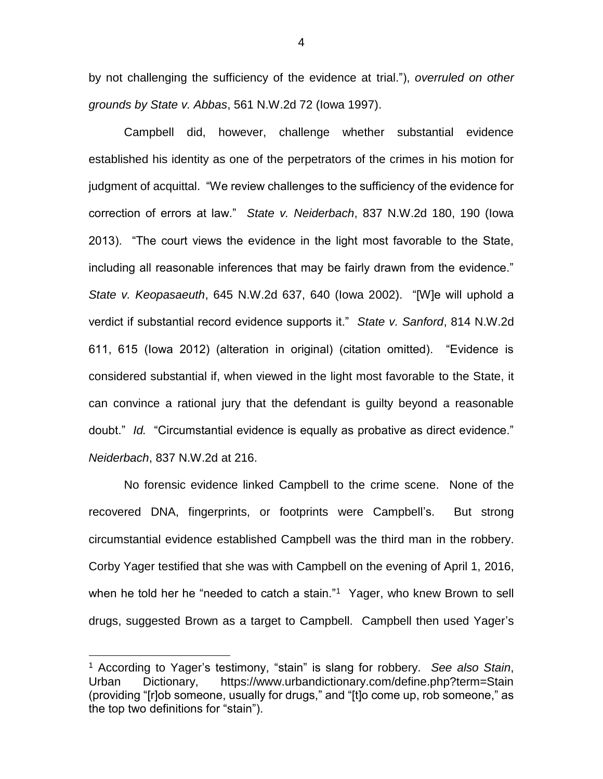by not challenging the sufficiency of the evidence at trial."), *overruled on other grounds by State v. Abbas*, 561 N.W.2d 72 (Iowa 1997).

Campbell did, however, challenge whether substantial evidence established his identity as one of the perpetrators of the crimes in his motion for judgment of acquittal. "We review challenges to the sufficiency of the evidence for correction of errors at law." *State v. Neiderbach*, 837 N.W.2d 180, 190 (Iowa 2013). "The court views the evidence in the light most favorable to the State, including all reasonable inferences that may be fairly drawn from the evidence." *State v. Keopasaeuth*, 645 N.W.2d 637, 640 (Iowa 2002). "[W]e will uphold a verdict if substantial record evidence supports it." *State v. Sanford*, 814 N.W.2d 611, 615 (Iowa 2012) (alteration in original) (citation omitted). "Evidence is considered substantial if, when viewed in the light most favorable to the State, it can convince a rational jury that the defendant is guilty beyond a reasonable doubt." *Id.* "Circumstantial evidence is equally as probative as direct evidence." *Neiderbach*, 837 N.W.2d at 216.

No forensic evidence linked Campbell to the crime scene. None of the recovered DNA, fingerprints, or footprints were Campbell's. But strong circumstantial evidence established Campbell was the third man in the robbery. Corby Yager testified that she was with Campbell on the evening of April 1, 2016, when he told her he "needed to catch a stain."<sup>1</sup> Yager, who knew Brown to sell drugs, suggested Brown as a target to Campbell. Campbell then used Yager's

<sup>1</sup> According to Yager's testimony, "stain" is slang for robbery. *See also Stain*, Urban Dictionary, https://www.urbandictionary.com/define.php?term=Stain (providing "[r]ob someone, usually for drugs," and "[t]o come up, rob someone," as the top two definitions for "stain").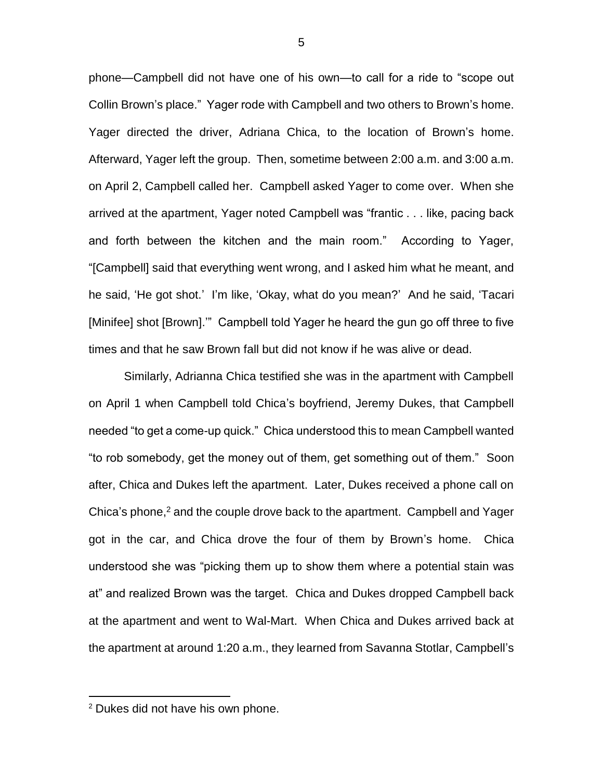phone—Campbell did not have one of his own—to call for a ride to "scope out Collin Brown's place." Yager rode with Campbell and two others to Brown's home. Yager directed the driver, Adriana Chica, to the location of Brown's home. Afterward, Yager left the group. Then, sometime between 2:00 a.m. and 3:00 a.m. on April 2, Campbell called her. Campbell asked Yager to come over. When she arrived at the apartment, Yager noted Campbell was "frantic . . . like, pacing back and forth between the kitchen and the main room." According to Yager, "[Campbell] said that everything went wrong, and I asked him what he meant, and he said, 'He got shot.' I'm like, 'Okay, what do you mean?' And he said, 'Tacari [Minifee] shot [Brown].'" Campbell told Yager he heard the gun go off three to five times and that he saw Brown fall but did not know if he was alive or dead.

Similarly, Adrianna Chica testified she was in the apartment with Campbell on April 1 when Campbell told Chica's boyfriend, Jeremy Dukes, that Campbell needed "to get a come-up quick." Chica understood this to mean Campbell wanted "to rob somebody, get the money out of them, get something out of them." Soon after, Chica and Dukes left the apartment. Later, Dukes received a phone call on Chica's phone, $<sup>2</sup>$  and the couple drove back to the apartment. Campbell and Yager</sup> got in the car, and Chica drove the four of them by Brown's home. Chica understood she was "picking them up to show them where a potential stain was at" and realized Brown was the target. Chica and Dukes dropped Campbell back at the apartment and went to Wal-Mart. When Chica and Dukes arrived back at the apartment at around 1:20 a.m., they learned from Savanna Stotlar, Campbell's

<sup>2</sup> Dukes did not have his own phone.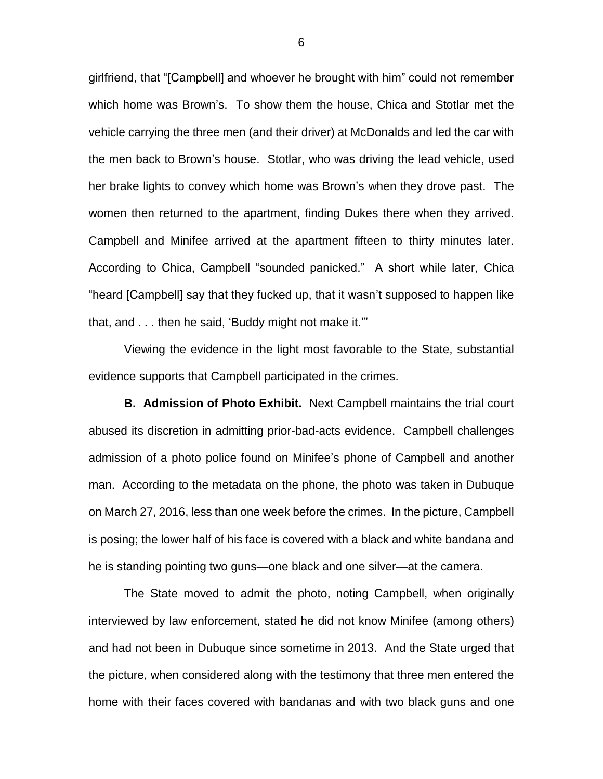girlfriend, that "[Campbell] and whoever he brought with him" could not remember which home was Brown's. To show them the house, Chica and Stotlar met the vehicle carrying the three men (and their driver) at McDonalds and led the car with the men back to Brown's house. Stotlar, who was driving the lead vehicle, used her brake lights to convey which home was Brown's when they drove past. The women then returned to the apartment, finding Dukes there when they arrived. Campbell and Minifee arrived at the apartment fifteen to thirty minutes later. According to Chica, Campbell "sounded panicked." A short while later, Chica "heard [Campbell] say that they fucked up, that it wasn't supposed to happen like that, and . . . then he said, 'Buddy might not make it.'"

Viewing the evidence in the light most favorable to the State, substantial evidence supports that Campbell participated in the crimes.

**B. Admission of Photo Exhibit.** Next Campbell maintains the trial court abused its discretion in admitting prior-bad-acts evidence. Campbell challenges admission of a photo police found on Minifee's phone of Campbell and another man. According to the metadata on the phone, the photo was taken in Dubuque on March 27, 2016, less than one week before the crimes. In the picture, Campbell is posing; the lower half of his face is covered with a black and white bandana and he is standing pointing two guns—one black and one silver—at the camera.

The State moved to admit the photo, noting Campbell, when originally interviewed by law enforcement, stated he did not know Minifee (among others) and had not been in Dubuque since sometime in 2013. And the State urged that the picture, when considered along with the testimony that three men entered the home with their faces covered with bandanas and with two black guns and one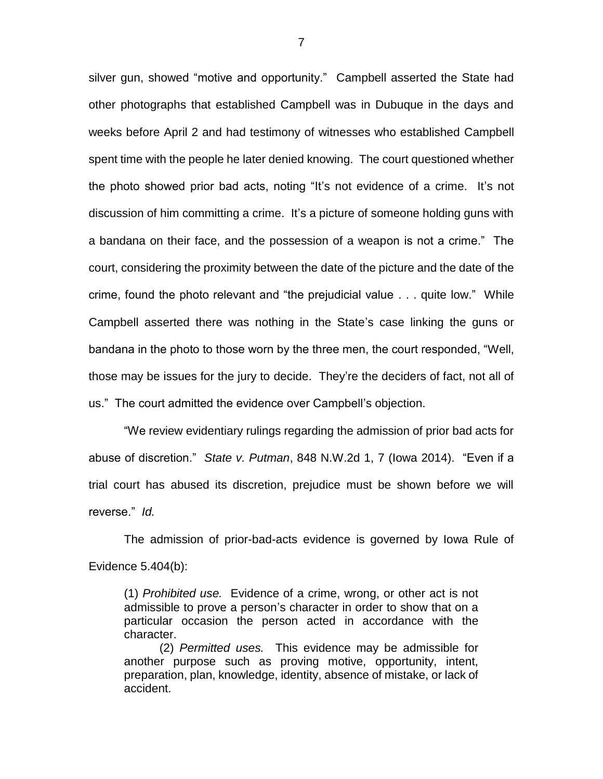silver gun, showed "motive and opportunity." Campbell asserted the State had other photographs that established Campbell was in Dubuque in the days and weeks before April 2 and had testimony of witnesses who established Campbell spent time with the people he later denied knowing. The court questioned whether the photo showed prior bad acts, noting "It's not evidence of a crime. It's not discussion of him committing a crime. It's a picture of someone holding guns with a bandana on their face, and the possession of a weapon is not a crime." The court, considering the proximity between the date of the picture and the date of the crime, found the photo relevant and "the prejudicial value . . . quite low." While Campbell asserted there was nothing in the State's case linking the guns or bandana in the photo to those worn by the three men, the court responded, "Well, those may be issues for the jury to decide. They're the deciders of fact, not all of us." The court admitted the evidence over Campbell's objection.

"We review evidentiary rulings regarding the admission of prior bad acts for abuse of discretion." *State v. Putman*, 848 N.W.2d 1, 7 (Iowa 2014). "Even if a trial court has abused its discretion, prejudice must be shown before we will reverse." *Id.* 

The admission of prior-bad-acts evidence is governed by Iowa Rule of Evidence 5.404(b):

(1) *Prohibited use.* Evidence of a crime, wrong, or other act is not admissible to prove a person's character in order to show that on a particular occasion the person acted in accordance with the character.

(2) *Permitted uses.* This evidence may be admissible for another purpose such as proving motive, opportunity, intent, preparation, plan, knowledge, identity, absence of mistake, or lack of accident.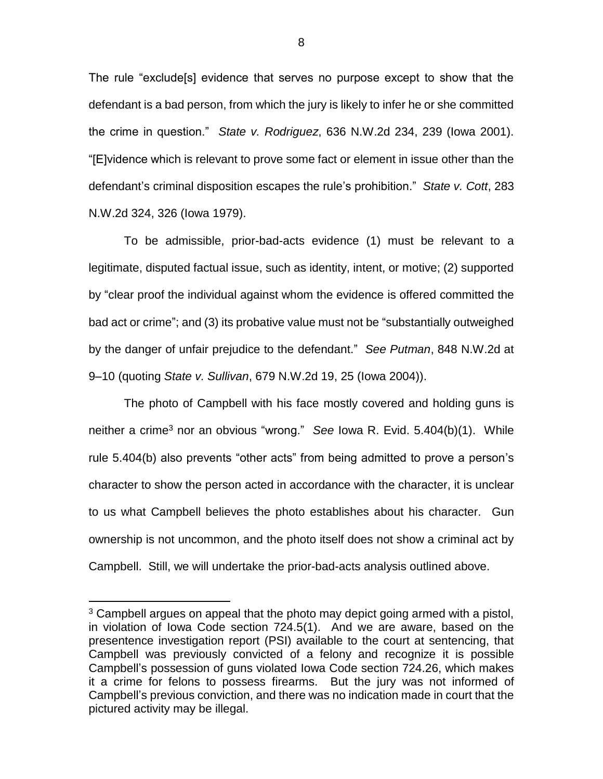The rule "exclude[s] evidence that serves no purpose except to show that the defendant is a bad person, from which the jury is likely to infer he or she committed the crime in question." *State v. Rodriguez*, 636 N.W.2d 234, 239 (Iowa 2001). "[E]vidence which is relevant to prove some fact or element in issue other than the defendant's criminal disposition escapes the rule's prohibition." *State v. Cott*, 283 N.W.2d 324, 326 (Iowa 1979).

To be admissible, prior-bad-acts evidence (1) must be relevant to a legitimate, disputed factual issue, such as identity, intent, or motive; (2) supported by "clear proof the individual against whom the evidence is offered committed the bad act or crime"; and (3) its probative value must not be "substantially outweighed by the danger of unfair prejudice to the defendant." *See Putman*, 848 N.W.2d at 9–10 (quoting *State v. Sullivan*, 679 N.W.2d 19, 25 (Iowa 2004)).

The photo of Campbell with his face mostly covered and holding guns is neither a crime<sup>3</sup> nor an obvious "wrong." *See* Iowa R. Evid. 5.404(b)(1). While rule 5.404(b) also prevents "other acts" from being admitted to prove a person's character to show the person acted in accordance with the character, it is unclear to us what Campbell believes the photo establishes about his character. Gun ownership is not uncommon, and the photo itself does not show a criminal act by Campbell. Still, we will undertake the prior-bad-acts analysis outlined above.

 $3$  Campbell argues on appeal that the photo may depict going armed with a pistol, in violation of Iowa Code section 724.5(1). And we are aware, based on the presentence investigation report (PSI) available to the court at sentencing, that Campbell was previously convicted of a felony and recognize it is possible Campbell's possession of guns violated Iowa Code section 724.26, which makes it a crime for felons to possess firearms. But the jury was not informed of Campbell's previous conviction, and there was no indication made in court that the pictured activity may be illegal.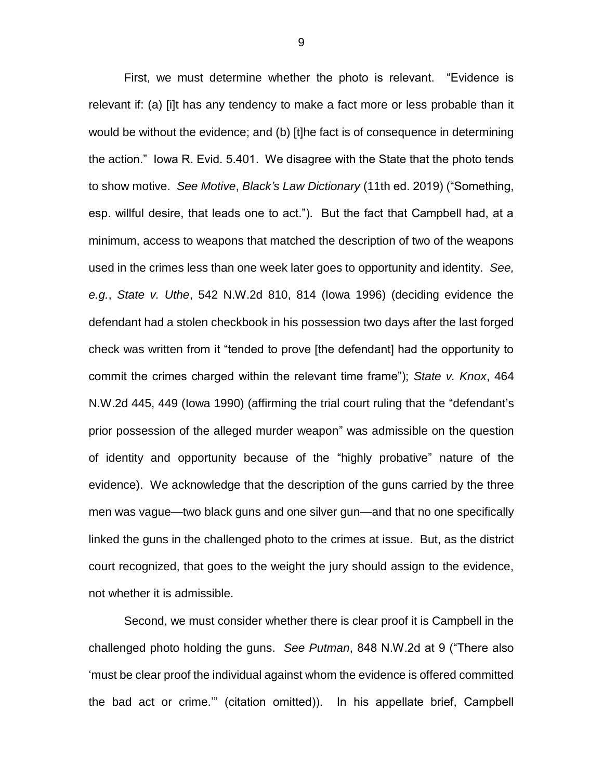First, we must determine whether the photo is relevant. "Evidence is relevant if: (a) [i]t has any tendency to make a fact more or less probable than it would be without the evidence; and (b) [t]he fact is of consequence in determining the action." Iowa R. Evid. 5.401. We disagree with the State that the photo tends to show motive. *See Motive*, *Black's Law Dictionary* (11th ed. 2019) ("Something, esp. willful desire, that leads one to act."). But the fact that Campbell had, at a minimum, access to weapons that matched the description of two of the weapons used in the crimes less than one week later goes to opportunity and identity. *See, e.g.*, *State v. Uthe*, 542 N.W.2d 810, 814 (Iowa 1996) (deciding evidence the defendant had a stolen checkbook in his possession two days after the last forged check was written from it "tended to prove [the defendant] had the opportunity to commit the crimes charged within the relevant time frame"); *State v. Knox*, 464 N.W.2d 445, 449 (Iowa 1990) (affirming the trial court ruling that the "defendant's prior possession of the alleged murder weapon" was admissible on the question of identity and opportunity because of the "highly probative" nature of the evidence). We acknowledge that the description of the guns carried by the three men was vague—two black guns and one silver gun—and that no one specifically linked the guns in the challenged photo to the crimes at issue. But, as the district court recognized, that goes to the weight the jury should assign to the evidence, not whether it is admissible.

Second, we must consider whether there is clear proof it is Campbell in the challenged photo holding the guns. *See Putman*, 848 N.W.2d at 9 ("There also 'must be clear proof the individual against whom the evidence is offered committed the bad act or crime.'" (citation omitted)). In his appellate brief, Campbell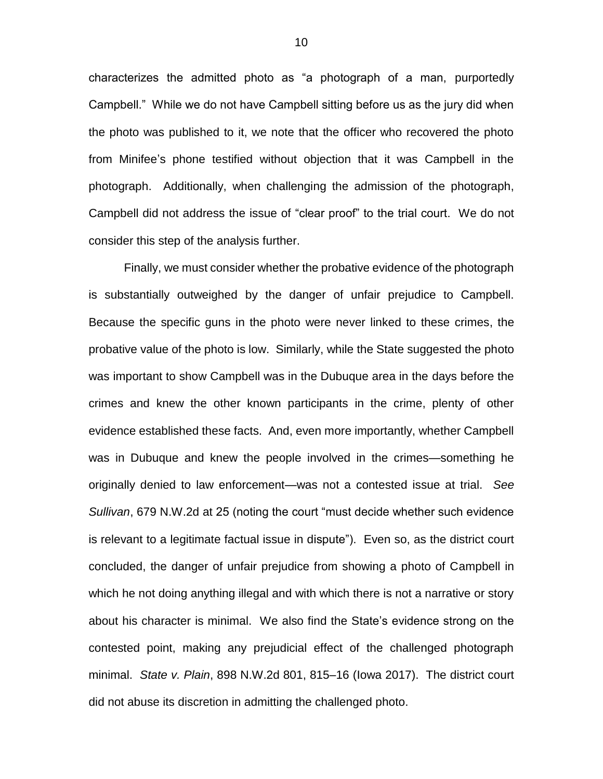characterizes the admitted photo as "a photograph of a man, purportedly Campbell." While we do not have Campbell sitting before us as the jury did when the photo was published to it, we note that the officer who recovered the photo from Minifee's phone testified without objection that it was Campbell in the photograph. Additionally, when challenging the admission of the photograph, Campbell did not address the issue of "clear proof" to the trial court. We do not consider this step of the analysis further.

Finally, we must consider whether the probative evidence of the photograph is substantially outweighed by the danger of unfair prejudice to Campbell. Because the specific guns in the photo were never linked to these crimes, the probative value of the photo is low. Similarly, while the State suggested the photo was important to show Campbell was in the Dubuque area in the days before the crimes and knew the other known participants in the crime, plenty of other evidence established these facts. And, even more importantly, whether Campbell was in Dubuque and knew the people involved in the crimes—something he originally denied to law enforcement—was not a contested issue at trial. *See Sullivan*, 679 N.W.2d at 25 (noting the court "must decide whether such evidence is relevant to a legitimate factual issue in dispute"). Even so, as the district court concluded, the danger of unfair prejudice from showing a photo of Campbell in which he not doing anything illegal and with which there is not a narrative or story about his character is minimal. We also find the State's evidence strong on the contested point, making any prejudicial effect of the challenged photograph minimal. *State v. Plain*, 898 N.W.2d 801, 815–16 (Iowa 2017). The district court did not abuse its discretion in admitting the challenged photo.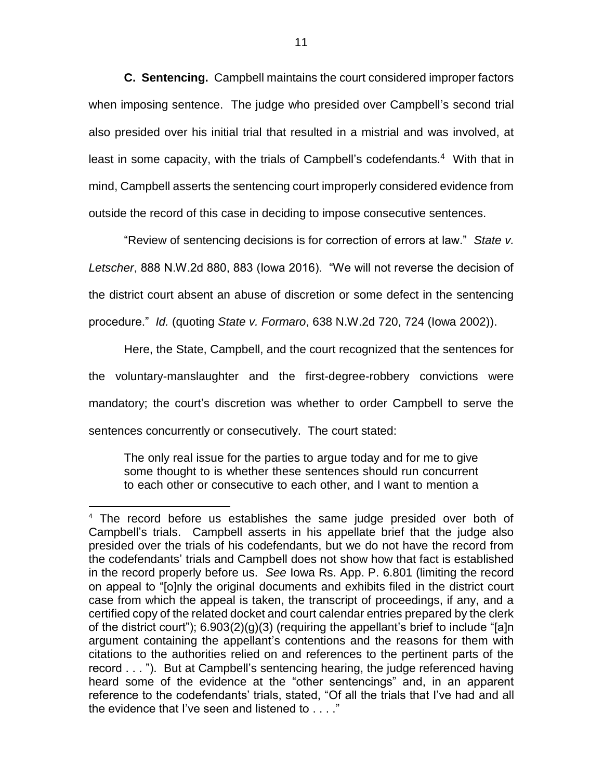**C. Sentencing.** Campbell maintains the court considered improper factors when imposing sentence. The judge who presided over Campbell's second trial also presided over his initial trial that resulted in a mistrial and was involved, at least in some capacity, with the trials of Campbell's codefendants.<sup>4</sup> With that in mind, Campbell asserts the sentencing court improperly considered evidence from outside the record of this case in deciding to impose consecutive sentences.

"Review of sentencing decisions is for correction of errors at law." *State v. Letscher*, 888 N.W.2d 880, 883 (Iowa 2016). "We will not reverse the decision of the district court absent an abuse of discretion or some defect in the sentencing procedure." *Id.* (quoting *State v. Formaro*, 638 N.W.2d 720, 724 (Iowa 2002)).

Here, the State, Campbell, and the court recognized that the sentences for the voluntary-manslaughter and the first-degree-robbery convictions were mandatory; the court's discretion was whether to order Campbell to serve the sentences concurrently or consecutively. The court stated:

The only real issue for the parties to argue today and for me to give some thought to is whether these sentences should run concurrent to each other or consecutive to each other, and I want to mention a

<sup>4</sup> The record before us establishes the same judge presided over both of Campbell's trials. Campbell asserts in his appellate brief that the judge also presided over the trials of his codefendants, but we do not have the record from the codefendants' trials and Campbell does not show how that fact is established in the record properly before us. *See* Iowa Rs. App. P. 6.801 (limiting the record on appeal to "[o]nly the original documents and exhibits filed in the district court case from which the appeal is taken, the transcript of proceedings, if any, and a certified copy of the related docket and court calendar entries prepared by the clerk of the district court");  $6.903(2)(g)(3)$  (requiring the appellant's brief to include "[a]n argument containing the appellant's contentions and the reasons for them with citations to the authorities relied on and references to the pertinent parts of the record . . . "). But at Campbell's sentencing hearing, the judge referenced having heard some of the evidence at the "other sentencings" and, in an apparent reference to the codefendants' trials, stated, "Of all the trials that I've had and all the evidence that I've seen and listened to . . . ."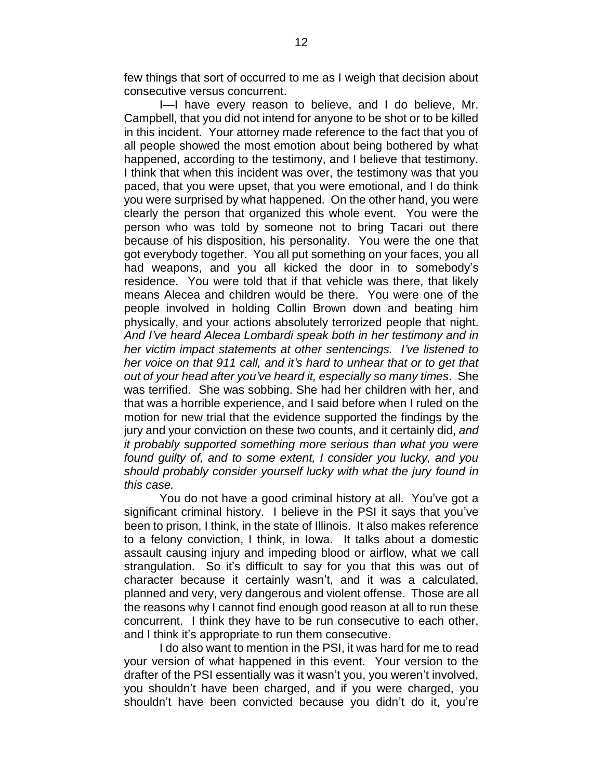few things that sort of occurred to me as I weigh that decision about consecutive versus concurrent.

I—I have every reason to believe, and I do believe, Mr. Campbell, that you did not intend for anyone to be shot or to be killed in this incident. Your attorney made reference to the fact that you of all people showed the most emotion about being bothered by what happened, according to the testimony, and I believe that testimony. I think that when this incident was over, the testimony was that you paced, that you were upset, that you were emotional, and I do think you were surprised by what happened. On the other hand, you were clearly the person that organized this whole event. You were the person who was told by someone not to bring Tacari out there because of his disposition, his personality. You were the one that got everybody together. You all put something on your faces, you all had weapons, and you all kicked the door in to somebody's residence. You were told that if that vehicle was there, that likely means Alecea and children would be there. You were one of the people involved in holding Collin Brown down and beating him physically, and your actions absolutely terrorized people that night. *And I've heard Alecea Lombardi speak both in her testimony and in her victim impact statements at other sentencings. I've listened to her voice on that 911 call, and it's hard to unhear that or to get that out of your head after you've heard it, especially so many times*. She was terrified. She was sobbing. She had her children with her, and that was a horrible experience, and I said before when I ruled on the motion for new trial that the evidence supported the findings by the jury and your conviction on these two counts, and it certainly did, *and it probably supported something more serious than what you were found guilty of, and to some extent, I consider you lucky, and you should probably consider yourself lucky with what the jury found in this case.*

You do not have a good criminal history at all. You've got a significant criminal history. I believe in the PSI it says that you've been to prison, I think, in the state of Illinois. It also makes reference to a felony conviction, I think, in Iowa. It talks about a domestic assault causing injury and impeding blood or airflow, what we call strangulation. So it's difficult to say for you that this was out of character because it certainly wasn't, and it was a calculated, planned and very, very dangerous and violent offense. Those are all the reasons why I cannot find enough good reason at all to run these concurrent. I think they have to be run consecutive to each other, and I think it's appropriate to run them consecutive.

I do also want to mention in the PSI, it was hard for me to read your version of what happened in this event. Your version to the drafter of the PSI essentially was it wasn't you, you weren't involved, you shouldn't have been charged, and if you were charged, you shouldn't have been convicted because you didn't do it, you're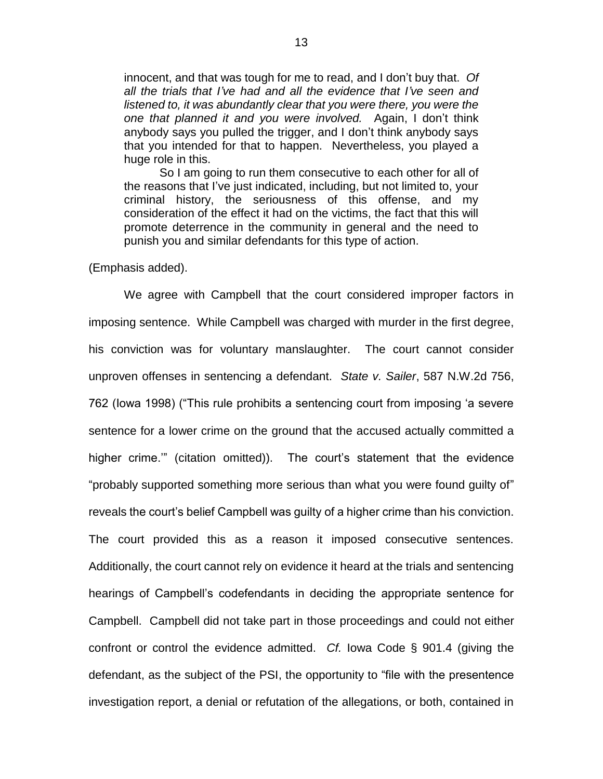innocent, and that was tough for me to read, and I don't buy that. *Of all the trials that I've had and all the evidence that I've seen and listened to, it was abundantly clear that you were there, you were the one that planned it and you were involved.* Again, I don't think anybody says you pulled the trigger, and I don't think anybody says that you intended for that to happen. Nevertheless, you played a huge role in this.

So I am going to run them consecutive to each other for all of the reasons that I've just indicated, including, but not limited to, your criminal history, the seriousness of this offense, and my consideration of the effect it had on the victims, the fact that this will promote deterrence in the community in general and the need to punish you and similar defendants for this type of action.

(Emphasis added).

We agree with Campbell that the court considered improper factors in imposing sentence. While Campbell was charged with murder in the first degree, his conviction was for voluntary manslaughter. The court cannot consider unproven offenses in sentencing a defendant. *State v. Sailer*, 587 N.W.2d 756, 762 (Iowa 1998) ("This rule prohibits a sentencing court from imposing 'a severe sentence for a lower crime on the ground that the accused actually committed a higher crime.'" (citation omitted)). The court's statement that the evidence "probably supported something more serious than what you were found guilty of" reveals the court's belief Campbell was guilty of a higher crime than his conviction. The court provided this as a reason it imposed consecutive sentences. Additionally, the court cannot rely on evidence it heard at the trials and sentencing hearings of Campbell's codefendants in deciding the appropriate sentence for Campbell. Campbell did not take part in those proceedings and could not either confront or control the evidence admitted. *Cf.* Iowa Code § 901.4 (giving the defendant, as the subject of the PSI, the opportunity to "file with the presentence investigation report, a denial or refutation of the allegations, or both, contained in